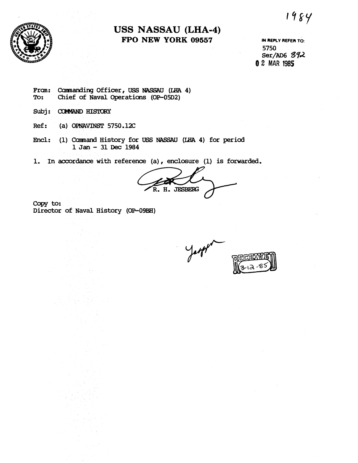1984



## **USS NASSAU (LHA-4) FPO NEW YORK 09557 IN REPLY REFER TO:**

**5750 Ser/AD6 372 0 2 MAR 1985** 

Fram: Cannanding Officer, USS NASSAU (IHA 4)<br>To: Chief of Naval Operations (OP-05D2) **To: Chief of Naval Operations (OP-05D2)** 

- Subj: COMMAND HISTORY
- **Ref** : **(a) OPNAVINST 5750.12C**
- Encl: (1) Command History for USS NASSAU (LHA 4) for period **1 Jan** - **31 Dec <sup>1984</sup>**
- **1. In accordance with reference (a)** , **enclosure (1) is forwarded.**

**JESBERG** 

Copy to: **Director of Naval History (OP-09BH)**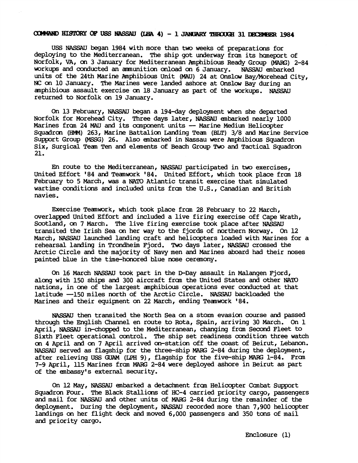## COMMAND HISTORY OF USS NASSAU (LHA 4) - 1 JANUARY THROUGH 31 DECEMBER 1984

US NASSAU began 1984 with more than two weeks of preparations for deploying to the Mediterranean. The Ship got underway from its homeport of Norfolk, VA, on 3 January for Mediterranean Amphibious Ready Group **(MARG)** 2-84 workups and conducted an munition oriload on 6 January. NASSAU enbarked units of the 24th Marine Amphibious Unit **(MAU)** 24 at Onslow Bay/lwrehead City, **NC** on 10 January. The Marines were landed ashore at Onslow Bay during an anphibious assault exercise on 18 January as part of the workups. NASSAU returned to Norfolk on 19 January.

On **U** February, NASSAU began a 194-day deployment when she departed Norfolk for Morehead City. Three days later, NASSAU enbarked nearly 1000 Marines from 24 MAU and its component units -- Marine Medium Helicopter Squadron (HMM) 263, Marine Battalion Landing Team (BLT) 3/8 and Marine Service Support Group (MSSG) 26. Also embarked in Nassau were Amphibious Squadron Six, Surgical Tean Ten and elements of Beach Group Two and Tactical Squadron 21.

En route to the Mediterranean, NASSAU participated in two exercises, United Effort '84 and Teamwork '84. United Effort, which took place from 18 February to 5 March, was a **NATO** Atlantic transit exercise that simulated wartime conditions and included units from the U.S., Canadian and British navies.

Exercise Teanwork, which took pliace £ran 28 February to 22 March, overlapped United Effort and included a live firing exercise off Cape Wrath, Scotland, on 7 March. The live firing exercise took place after NASSAU transited the Irish Sea on her way to the fjords of northern Norway. On 12 March, NASSAU launched landing craft and helicopters loaded with Marines for a rehearsal landing in Trondheim Fjord. Two days later, NASSAU crossed the Arctic Circle and the majority of Navy men and Marines aboard had their noses painted blue in the time-honored blue nose ceranony.

On 16 March NASSAU took part in the D-Day assault in Malangen Fjord, along with 150 ships and 300 aircraft £ran the United States and other NATO nations, in one of the largest anphibious aperations ever conducted at that latitude -150 miles north of the Arctic Circle. NASSAU backloaded the Marines and their equipnent on 22 March, ending Teanwork '84.

NASSAU then transited the North Sea on a storm evasion course and passed through the English Channel en route to Rota, Spain, arriving 30 March. On 1 April, NASSAU in-chopped to the Mediterranean, changing £ran Second Fleet to Sixth Fleet operational control. The ship set readiness condition three watch on 4 April and on 7 April arrived on-station off the coast of Beirut, Lebanon. NASSAU served as flagship for the three-ship **MAFG** 2-84 during the deployment, after relieving US GUAM (LPH **9),** flagship for the five-ship **MARG** 1-84. Fran 7-9 April, 115 Marines £ran **MAX3** 2-84 were deployed ashore in Beirut as part of the enbassyls external security.

On 12 May, NASSAU enbarked a detaclment £ran Helicopter Ccnbat Support Squadron Four. The Black Stallions of HC-4 carried priority cargo, passengers and mail for NASSAU and other units of MARG 2-84 during the remainder of the deployment. During the deployment, NASSAU recorded more than 7,900 helicopter landings on her flight deck and moved 6,000 passengers and 350 tons of mail and priority cargo.